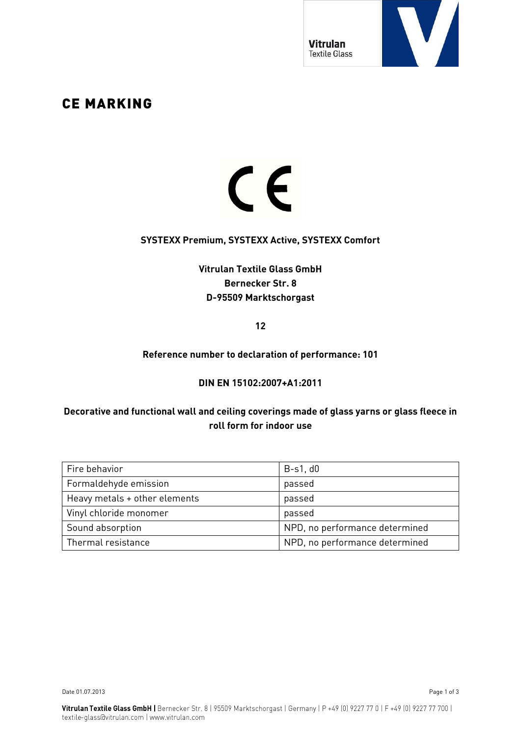

# CE MARKING

# $C<sub>f</sub>$

#### **SYSTEXX Premium, SYSTEXX Active, SYSTEXX Comfort**

## **Vitrulan Textile Glass GmbH Bernecker Str. 8 D-95509 Marktschorgast**

**12**

#### **Reference number to declaration of performance: 101**

#### **DIN EN 15102:2007+A1:2011**

#### **Decorative and functional wall and ceiling coverings made of glass yarns or glass fleece in roll form for indoor use**

| Fire behavior                 | $B-s1$ , $d0$                  |  |
|-------------------------------|--------------------------------|--|
| Formaldehyde emission         | passed                         |  |
| Heavy metals + other elements | passed                         |  |
| Vinyl chloride monomer        | passed                         |  |
| Sound absorption              | NPD, no performance determined |  |
| Thermal resistance            | NPD, no performance determined |  |

Date 01.07.2013 Page 1 of 3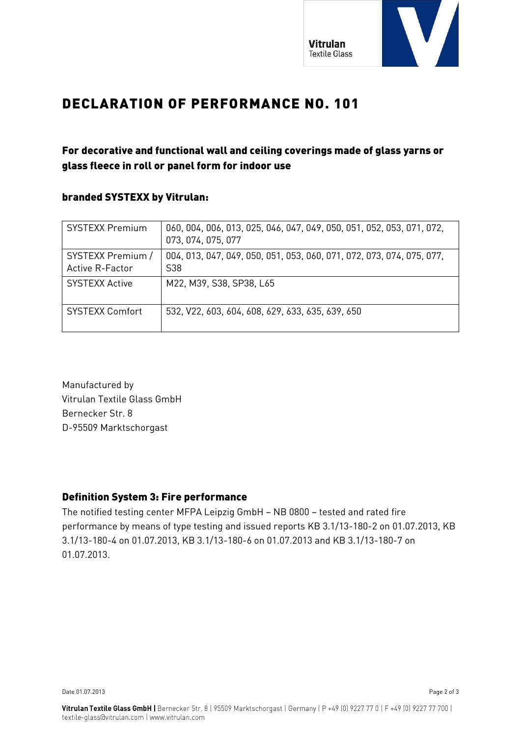

# DECLARATION OF PERFORMANCE NO. 101

# For decorative and functional wall and ceiling coverings made of glass yarns or glass fleece in roll or panel form for indoor use

#### branded SYSTEXX by Vitrulan:

| <b>SYSTEXX Premium</b>               | 060, 004, 006, 013, 025, 046, 047, 049, 050, 051, 052, 053, 071, 072,<br>073, 074, 075, 077 |
|--------------------------------------|---------------------------------------------------------------------------------------------|
| SYSTEXX Premium /<br>Active R-Factor | 004, 013, 047, 049, 050, 051, 053, 060, 071, 072, 073, 074, 075, 077,<br>S38                |
| <b>SYSTEXX Active</b>                | M22, M39, S38, SP38, L65                                                                    |
| <b>SYSTEXX Comfort</b>               | 532, V22, 603, 604, 608, 629, 633, 635, 639, 650                                            |

Manufactured by Vitrulan Textile Glass GmbH Bernecker Str. 8 D-95509 Marktschorgast

### Definition System 3: Fire performance

The notified testing center MFPA Leipzig GmbH – NB 0800 – tested and rated fire performance by means of type testing and issued reports KB 3.1/13-180-2 on 01.07.2013, KB 3.1/13-180-4 on 01.07.2013, KB 3.1/13-180-6 on 01.07.2013 and KB 3.1/13-180-7 on 01.07.2013.

Date 01.07.2013 Page 2 of 3